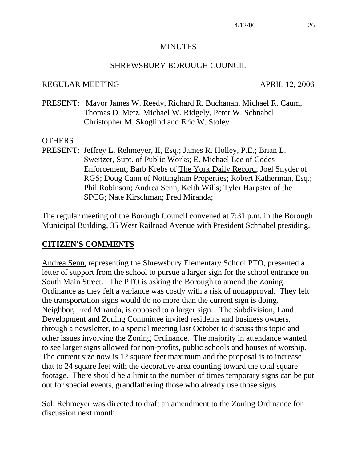#### **MINUTES**

#### SHREWSBURY BOROUGH COUNCIL

#### REGULAR MEETING APRIL 12, 2006

PRESENT: Mayor James W. Reedy, Richard R. Buchanan, Michael R. Caum, Thomas D. Metz, Michael W. Ridgely, Peter W. Schnabel, Christopher M. Skoglind and Eric W. Stoley

#### **OTHERS**

PRESENT: Jeffrey L. Rehmeyer, II, Esq.; James R. Holley, P.E.; Brian L. Sweitzer, Supt. of Public Works; E. Michael Lee of Codes Enforcement; Barb Krebs of The York Daily Record; Joel Snyder of RGS; Doug Cann of Nottingham Properties; Robert Katherman, Esq.; Phil Robinson; Andrea Senn; Keith Wills; Tyler Harpster of the SPCG; Nate Kirschman; Fred Miranda;

The regular meeting of the Borough Council convened at 7:31 p.m. in the Borough Municipal Building, 35 West Railroad Avenue with President Schnabel presiding.

#### **CITIZEN'S COMMENTS**

Andrea Senn, representing the Shrewsbury Elementary School PTO, presented a letter of support from the school to pursue a larger sign for the school entrance on South Main Street. The PTO is asking the Borough to amend the Zoning Ordinance as they felt a variance was costly with a risk of nonapproval. They felt the transportation signs would do no more than the current sign is doing. Neighbor, Fred Miranda, is opposed to a larger sign. The Subdivision, Land Development and Zoning Committee invited residents and business owners, through a newsletter, to a special meeting last October to discuss this topic and other issues involving the Zoning Ordinance. The majority in attendance wanted to see larger signs allowed for non-profits, public schools and houses of worship. The current size now is 12 square feet maximum and the proposal is to increase that to 24 square feet with the decorative area counting toward the total square footage. There should be a limit to the number of times temporary signs can be put out for special events, grandfathering those who already use those signs.

Sol. Rehmeyer was directed to draft an amendment to the Zoning Ordinance for discussion next month.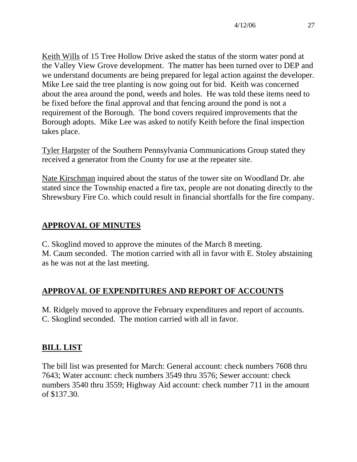Keith Wills of 15 Tree Hollow Drive asked the status of the storm water pond at the Valley View Grove development. The matter has been turned over to DEP and we understand documents are being prepared for legal action against the developer. Mike Lee said the tree planting is now going out for bid. Keith was concerned about the area around the pond, weeds and holes. He was told these items need to be fixed before the final approval and that fencing around the pond is not a requirement of the Borough. The bond covers required improvements that the Borough adopts. Mike Lee was asked to notify Keith before the final inspection takes place.

Tyler Harpster of the Southern Pennsylvania Communications Group stated they received a generator from the County for use at the repeater site.

Nate Kirschman inquired about the status of the tower site on Woodland Dr. ahe stated since the Township enacted a fire tax, people are not donating directly to the Shrewsbury Fire Co. which could result in financial shortfalls for the fire company.

## **APPROVAL OF MINUTES**

C. Skoglind moved to approve the minutes of the March 8 meeting. M. Caum seconded. The motion carried with all in favor with E. Stoley abstaining as he was not at the last meeting.

## **APPROVAL OF EXPENDITURES AND REPORT OF ACCOUNTS**

M. Ridgely moved to approve the February expenditures and report of accounts. C. Skoglind seconded. The motion carried with all in favor.

### **BILL LIST**

The bill list was presented for March: General account: check numbers 7608 thru 7643; Water account: check numbers 3549 thru 3576; Sewer account: check numbers 3540 thru 3559; Highway Aid account: check number 711 in the amount of \$137.30.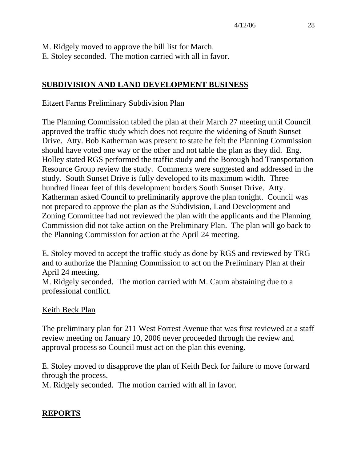M. Ridgely moved to approve the bill list for March. E. Stoley seconded. The motion carried with all in favor.

### **SUBDIVISION AND LAND DEVELOPMENT BUSINESS**

#### Eitzert Farms Preliminary Subdivision Plan

The Planning Commission tabled the plan at their March 27 meeting until Council approved the traffic study which does not require the widening of South Sunset Drive. Atty. Bob Katherman was present to state he felt the Planning Commission should have voted one way or the other and not table the plan as they did. Eng. Holley stated RGS performed the traffic study and the Borough had Transportation Resource Group review the study. Comments were suggested and addressed in the study. South Sunset Drive is fully developed to its maximum width. Three hundred linear feet of this development borders South Sunset Drive. Atty. Katherman asked Council to preliminarily approve the plan tonight. Council was not prepared to approve the plan as the Subdivision, Land Development and Zoning Committee had not reviewed the plan with the applicants and the Planning Commission did not take action on the Preliminary Plan. The plan will go back to the Planning Commission for action at the April 24 meeting.

E. Stoley moved to accept the traffic study as done by RGS and reviewed by TRG and to authorize the Planning Commission to act on the Preliminary Plan at their April 24 meeting.

M. Ridgely seconded. The motion carried with M. Caum abstaining due to a professional conflict.

#### Keith Beck Plan

The preliminary plan for 211 West Forrest Avenue that was first reviewed at a staff review meeting on January 10, 2006 never proceeded through the review and approval process so Council must act on the plan this evening.

E. Stoley moved to disapprove the plan of Keith Beck for failure to move forward through the process.

M. Ridgely seconded. The motion carried with all in favor.

### **REPORTS**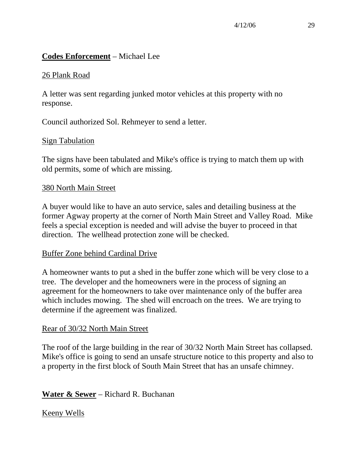### **Codes Enforcement** – Michael Lee

### 26 Plank Road

A letter was sent regarding junked motor vehicles at this property with no response.

Council authorized Sol. Rehmeyer to send a letter.

### Sign Tabulation

The signs have been tabulated and Mike's office is trying to match them up with old permits, some of which are missing.

#### 380 North Main Street

A buyer would like to have an auto service, sales and detailing business at the former Agway property at the corner of North Main Street and Valley Road. Mike feels a special exception is needed and will advise the buyer to proceed in that direction. The wellhead protection zone will be checked.

### Buffer Zone behind Cardinal Drive

A homeowner wants to put a shed in the buffer zone which will be very close to a tree. The developer and the homeowners were in the process of signing an agreement for the homeowners to take over maintenance only of the buffer area which includes mowing. The shed will encroach on the trees. We are trying to determine if the agreement was finalized.

### Rear of 30/32 North Main Street

The roof of the large building in the rear of 30/32 North Main Street has collapsed. Mike's office is going to send an unsafe structure notice to this property and also to a property in the first block of South Main Street that has an unsafe chimney.

## **Water & Sewer** – Richard R. Buchanan

### Keeny Wells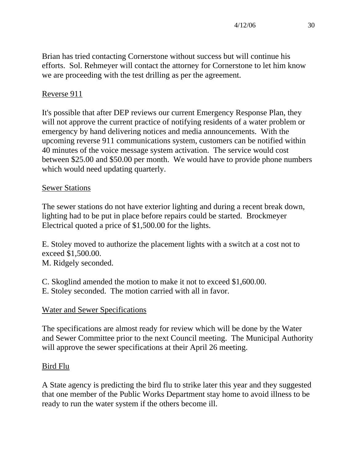Brian has tried contacting Cornerstone without success but will continue his efforts. Sol. Rehmeyer will contact the attorney for Cornerstone to let him know we are proceeding with the test drilling as per the agreement.

## Reverse 911

It's possible that after DEP reviews our current Emergency Response Plan, they will not approve the current practice of notifying residents of a water problem or emergency by hand delivering notices and media announcements. With the upcoming reverse 911 communications system, customers can be notified within 40 minutes of the voice message system activation. The service would cost between \$25.00 and \$50.00 per month. We would have to provide phone numbers which would need updating quarterly.

## Sewer Stations

The sewer stations do not have exterior lighting and during a recent break down, lighting had to be put in place before repairs could be started. Brockmeyer Electrical quoted a price of \$1,500.00 for the lights.

E. Stoley moved to authorize the placement lights with a switch at a cost not to exceed \$1,500.00. M. Ridgely seconded.

C. Skoglind amended the motion to make it not to exceed \$1,600.00.

E. Stoley seconded. The motion carried with all in favor.

## Water and Sewer Specifications

The specifications are almost ready for review which will be done by the Water and Sewer Committee prior to the next Council meeting. The Municipal Authority will approve the sewer specifications at their April 26 meeting.

## Bird Flu

A State agency is predicting the bird flu to strike later this year and they suggested that one member of the Public Works Department stay home to avoid illness to be ready to run the water system if the others become ill.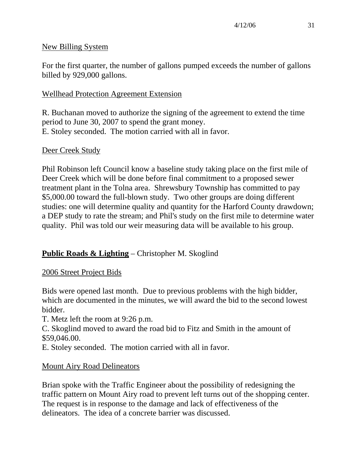### New Billing System

For the first quarter, the number of gallons pumped exceeds the number of gallons billed by 929,000 gallons.

### Wellhead Protection Agreement Extension

R. Buchanan moved to authorize the signing of the agreement to extend the time period to June 30, 2007 to spend the grant money. E. Stoley seconded. The motion carried with all in favor.

### Deer Creek Study

Phil Robinson left Council know a baseline study taking place on the first mile of Deer Creek which will be done before final commitment to a proposed sewer treatment plant in the Tolna area. Shrewsbury Township has committed to pay \$5,000.00 toward the full-blown study. Two other groups are doing different studies: one will determine quality and quantity for the Harford County drawdown; a DEP study to rate the stream; and Phil's study on the first mile to determine water quality. Phil was told our weir measuring data will be available to his group.

## **Public Roads & Lighting** – Christopher M. Skoglind

### 2006 Street Project Bids

Bids were opened last month. Due to previous problems with the high bidder, which are documented in the minutes, we will award the bid to the second lowest bidder.

T. Metz left the room at 9:26 p.m.

C. Skoglind moved to award the road bid to Fitz and Smith in the amount of \$59,046.00.

E. Stoley seconded. The motion carried with all in favor.

### Mount Airy Road Delineators

Brian spoke with the Traffic Engineer about the possibility of redesigning the traffic pattern on Mount Airy road to prevent left turns out of the shopping center. The request is in response to the damage and lack of effectiveness of the delineators. The idea of a concrete barrier was discussed.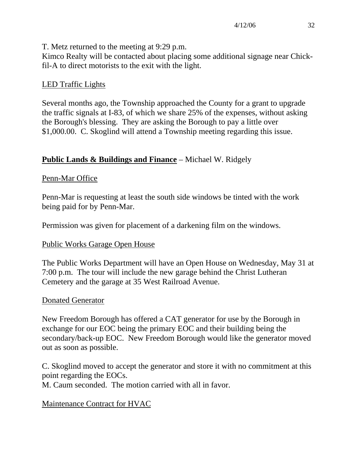T. Metz returned to the meeting at 9:29 p.m.

Kimco Realty will be contacted about placing some additional signage near Chickfil-A to direct motorists to the exit with the light.

## LED Traffic Lights

Several months ago, the Township approached the County for a grant to upgrade the traffic signals at I-83, of which we share 25% of the expenses, without asking the Borough's blessing. They are asking the Borough to pay a little over \$1,000.00. C. Skoglind will attend a Township meeting regarding this issue.

## **Public Lands & Buildings and Finance** – Michael W. Ridgely

## Penn-Mar Office

Penn-Mar is requesting at least the south side windows be tinted with the work being paid for by Penn-Mar.

Permission was given for placement of a darkening film on the windows.

## Public Works Garage Open House

The Public Works Department will have an Open House on Wednesday, May 31 at 7:00 p.m. The tour will include the new garage behind the Christ Lutheran Cemetery and the garage at 35 West Railroad Avenue.

### Donated Generator

New Freedom Borough has offered a CAT generator for use by the Borough in exchange for our EOC being the primary EOC and their building being the secondary/back-up EOC. New Freedom Borough would like the generator moved out as soon as possible.

C. Skoglind moved to accept the generator and store it with no commitment at this point regarding the EOCs.

M. Caum seconded. The motion carried with all in favor.

# Maintenance Contract for HVAC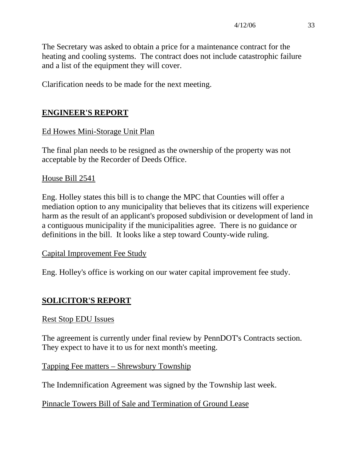The Secretary was asked to obtain a price for a maintenance contract for the heating and cooling systems. The contract does not include catastrophic failure and a list of the equipment they will cover.

Clarification needs to be made for the next meeting.

## **ENGINEER'S REPORT**

## Ed Howes Mini-Storage Unit Plan

The final plan needs to be resigned as the ownership of the property was not acceptable by the Recorder of Deeds Office.

### House Bill 2541

Eng. Holley states this bill is to change the MPC that Counties will offer a mediation option to any municipality that believes that its citizens will experience harm as the result of an applicant's proposed subdivision or development of land in a contiguous municipality if the municipalities agree. There is no guidance or definitions in the bill. It looks like a step toward County-wide ruling.

### Capital Improvement Fee Study

Eng. Holley's office is working on our water capital improvement fee study.

# **SOLICITOR'S REPORT**

### Rest Stop EDU Issues

The agreement is currently under final review by PennDOT's Contracts section. They expect to have it to us for next month's meeting.

### Tapping Fee matters – Shrewsbury Township

The Indemnification Agreement was signed by the Township last week.

Pinnacle Towers Bill of Sale and Termination of Ground Lease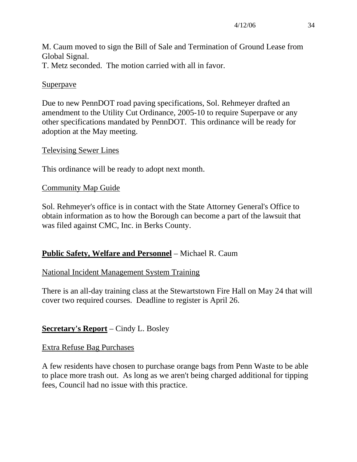M. Caum moved to sign the Bill of Sale and Termination of Ground Lease from Global Signal.

T. Metz seconded. The motion carried with all in favor.

### Superpave

Due to new PennDOT road paving specifications, Sol. Rehmeyer drafted an amendment to the Utility Cut Ordinance, 2005-10 to require Superpave or any other specifications mandated by PennDOT. This ordinance will be ready for adoption at the May meeting.

### Televising Sewer Lines

This ordinance will be ready to adopt next month.

### Community Map Guide

Sol. Rehmeyer's office is in contact with the State Attorney General's Office to obtain information as to how the Borough can become a part of the lawsuit that was filed against CMC, Inc. in Berks County.

## **Public Safety, Welfare and Personnel** – Michael R. Caum

### National Incident Management System Training

There is an all-day training class at the Stewartstown Fire Hall on May 24 that will cover two required courses. Deadline to register is April 26.

## **Secretary's Report** – Cindy L. Bosley

### Extra Refuse Bag Purchases

A few residents have chosen to purchase orange bags from Penn Waste to be able to place more trash out. As long as we aren't being charged additional for tipping fees, Council had no issue with this practice.